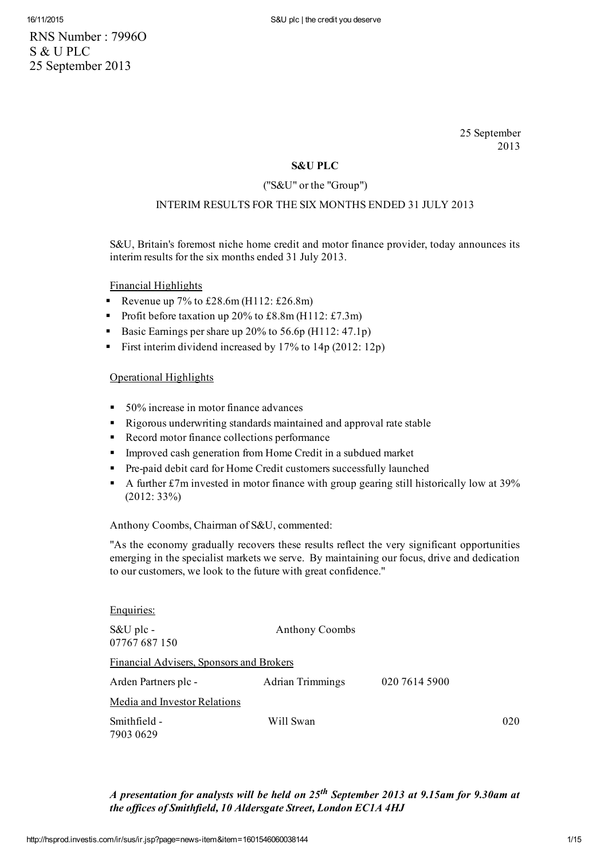RNS Number : 7996O S & U PLC 25 September 2013

> 25 September 2013

### S&U PLC

### ("S&U" or the "Group")

### INTERIM RESULTS FOR THE SIX MONTHS ENDED 31 JULY 2013

S&U, Britain's foremost niche home credit and motor finance provider, today announces its interim results for the six months ended 31 July 2013.

Financial Highlights

- Revenue up  $7\%$  to £28.6m (H112: £26.8m)
- Profit before taxation up  $20\%$  to £8.8m (H112: £7.3m)
- Basic Earnings per share up  $20\%$  to 56.6p (H112: 47.1p)
- First interim dividend increased by  $17\%$  to  $14p(2012; 12p)$

### Operational Highlights

- 50% increase in motor finance advances
- Rigorous underwriting standards maintained and approval rate stable
- Record motor finance collections performance
- Improved cash generation from Home Credit in a subdued market
- **Pre-paid debit card for Home Credit customers successfully launched**
- A further £7m invested in motor finance with group gearing still historically low at 39% (2012: 33%)

Anthony Coombs, Chairman of S&U, commented:

"As the economy gradually recovers these results reflect the very significant opportunities emerging in the specialist markets we serve. By maintaining our focus, drive and dedication to our customers, we look to the future with great confidence."

| Enquiries:                                      |                       |               |     |
|-------------------------------------------------|-----------------------|---------------|-----|
| S&U plc -<br>07767 687 150                      | <b>Anthony Coombs</b> |               |     |
| <b>Financial Advisers, Sponsors and Brokers</b> |                       |               |     |
| Arden Partners plc -                            | Adrian Trimmings      | 020 7614 5900 |     |
| <b>Media and Investor Relations</b>             |                       |               |     |
| Smithfield -<br>7903 0629                       | Will Swan             |               | 020 |

A presentation for analysts will be held on 25<sup>th</sup> September 2013 at 9.15am for 9.30am at the offices of Smithfield, 10 Aldersgate Street, London EC1A 4HJ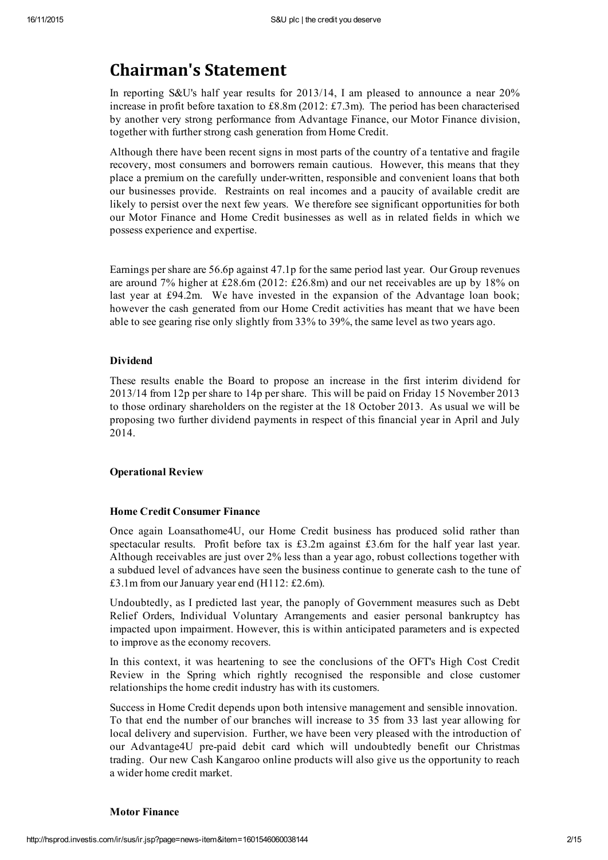# Chairman's Statement

In reporting S&U's half year results for 2013/14, I am pleased to announce a near 20% increase in profit before taxation to £8.8m (2012: £7.3m). The period has been characterised by another very strong performance from Advantage Finance, our Motor Finance division, together with further strong cash generation from Home Credit.

Although there have been recent signs in most parts of the country of a tentative and fragile recovery, most consumers and borrowers remain cautious. However, this means that they place a premium on the carefully underwritten, responsible and convenient loans that both our businesses provide. Restraints on real incomes and a paucity of available credit are likely to persist over the next few years. We therefore see significant opportunities for both our Motor Finance and Home Credit businesses as well as in related fields in which we possess experience and expertise.

Earnings per share are 56.6p against 47.1p for the same period last year. Our Group revenues are around 7% higher at £28.6m (2012: £26.8m) and our net receivables are up by 18% on last year at £94.2m. We have invested in the expansion of the Advantage loan book; however the cash generated from our Home Credit activities has meant that we have been able to see gearing rise only slightly from 33% to 39%, the same level as two years ago.

### Dividend

These results enable the Board to propose an increase in the first interim dividend for 2013/14 from 12p pershare to 14p pershare. This will be paid on Friday 15 November 2013 to those ordinary shareholders on the register at the 18 October 2013. As usual we will be proposing two further dividend payments in respect of this financial year in April and July 2014.

### Operational Review

### Home Credit Consumer Finance

Once again Loansathome4U, our Home Credit business has produced solid rather than spectacular results. Profit before tax is £3.2m against £3.6m for the half year last year. Although receivables are just over 2% less than a year ago, robust collections together with a subdued level of advances have seen the business continue to generate cash to the tune of £3.1m from our January year end (H112: £2.6m).

Undoubtedly, as I predicted last year, the panoply of Government measures such as Debt Relief Orders, Individual Voluntary Arrangements and easier personal bankruptcy has impacted upon impairment. However, this is within anticipated parameters and is expected to improve as the economy recovers.

In this context, it was heartening to see the conclusions of the OFT's High Cost Credit Review in the Spring which rightly recognised the responsible and close customer relationships the home credit industry has with its customers.

Success in Home Credit depends upon both intensive management and sensible innovation. To that end the number of our branches will increase to 35 from 33 last year allowing for local delivery and supervision. Further, we have been very pleased with the introduction of our Advantage4U pre-paid debit card which will undoubtedly benefit our Christmas trading. Our new Cash Kangaroo online products will also give us the opportunity to reach a wider home credit market.

### Motor Finance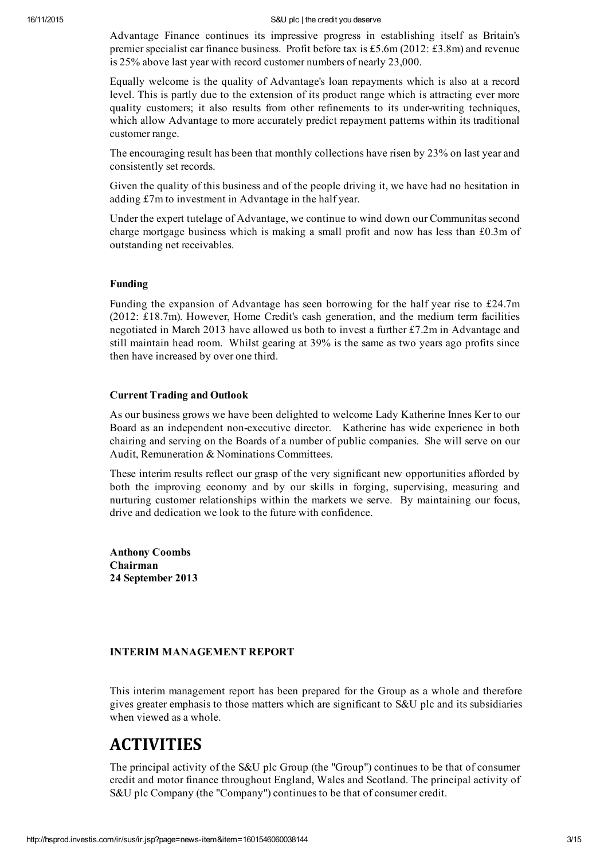Advantage Finance continues its impressive progress in establishing itself as Britain's premier specialist car finance business. Profit before tax is £5.6m (2012: £3.8m) and revenue is 25% above last year with record customer numbers of nearly 23,000.

Equally welcome is the quality of Advantage's loan repayments which is also at a record level. This is partly due to the extension of its product range which is attracting ever more quality customers; it also results from other refinements to its underwriting techniques, which allow Advantage to more accurately predict repayment patterns within its traditional customer range.

The encouraging result has been that monthly collections have risen by 23% on last year and consistently set records.

Given the quality of this business and of the people driving it, we have had no hesitation in adding £7m to investment in Advantage in the half year.

Under the expert tutelage of Advantage, we continue to wind down our Communitas second charge mortgage business which is making a small profit and now has less than £0.3m of outstanding net receivables.

### Funding

Funding the expansion of Advantage has seen borrowing for the half year rise to £24.7m (2012: £18.7m). However, Home Credit's cash generation, and the medium term facilities negotiated in March 2013 have allowed us both to invest a further £7.2m in Advantage and still maintain head room. Whilst gearing at 39% is the same as two years ago profits since then have increased by over one third.

### Current Trading and Outlook

As our business grows we have been delighted to welcome Lady Katherine Innes Ker to our Board as an independent non-executive director. Katherine has wide experience in both chairing and serving on the Boards of a number of public companies. She will serve on our Audit, Remuneration & Nominations Committees.

These interim results reflect our grasp of the very significant new opportunities afforded by both the improving economy and by our skills in forging, supervising, measuring and nurturing customer relationships within the markets we serve. By maintaining our focus, drive and dedication we look to the future with confidence.

Anthony Coombs Chairman 24 September 2013

### INTERIM MANAGEMENT REPORT

This interim management report has been prepared for the Group as a whole and therefore gives greater emphasis to those matters which are significant to S&U plc and its subsidiaries when viewed as a whole.

# ACTIVITIES

The principal activity of the S&U plc Group (the "Group") continues to be that of consumer credit and motor finance throughout England, Wales and Scotland. The principal activity of S&U plc Company (the "Company") continues to be that of consumer credit.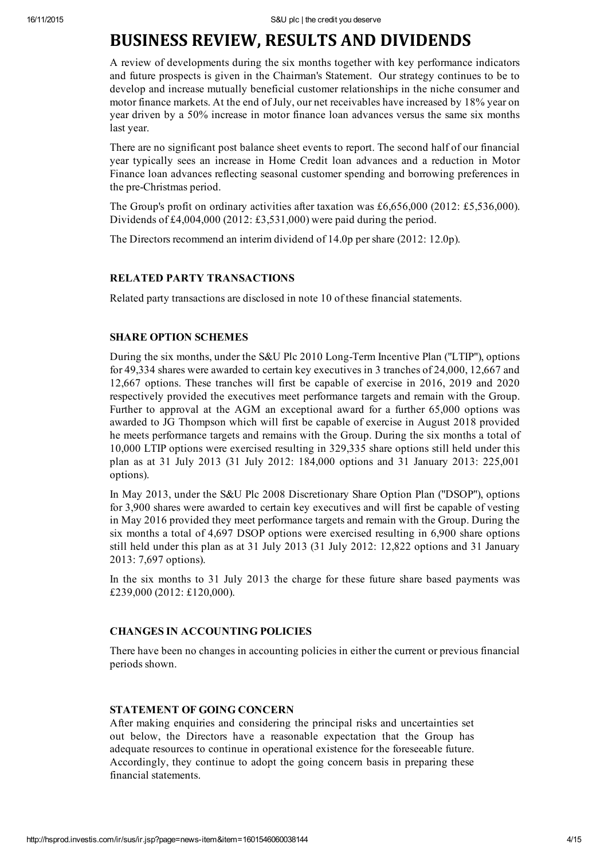# BUSINESS REVIEW, RESULTS AND DIVIDENDS

A review of developments during the six months together with key performance indicators and future prospects is given in the Chairman's Statement. Our strategy continues to be to develop and increase mutually beneficial customer relationships in the niche consumer and motor finance markets. At the end ofJuly, our net receivables have increased by 18% year on year driven by a 50% increase in motor finance loan advances versus the same six months last year.

There are no significant post balance sheet events to report. The second half of our financial year typically sees an increase in Home Credit loan advances and a reduction in Motor Finance loan advances reflecting seasonal customer spending and borrowing preferences in the pre-Christmas period.

The Group's profit on ordinary activities after taxation was £6,656,000 (2012: £5,536,000). Dividends of £4,004,000 (2012: £3,531,000) were paid during the period.

The Directors recommend an interim dividend of 14.0p pershare (2012: 12.0p).

### RELATED PARTY TRANSACTIONS

Related party transactions are disclosed in note 10 of these financial statements.

### SHARE OPTION SCHEMES

During the six months, under the S&U Plc 2010 Long-Term Incentive Plan ("LTIP"), options for 49,334 shares were awarded to certain key executives in 3 tranches of 24,000, 12,667 and 12,667 options. These tranches will first be capable of exercise in 2016, 2019 and 2020 respectively provided the executives meet performance targets and remain with the Group. Further to approval at the AGM an exceptional award for a further 65,000 options was awarded to JG Thompson which will first be capable of exercise in August 2018 provided he meets performance targets and remains with the Group. During the six months a total of 10,000 LTIP options were exercised resulting in 329,335 share options still held under this plan as at 31 July 2013 (31 July 2012: 184,000 options and 31 January 2013: 225,001 options).

In May 2013, under the S&U Plc 2008 Discretionary Share Option Plan ("DSOP"), options for 3,900 shares were awarded to certain key executives and will first be capable of vesting in May 2016 provided they meet performance targets and remain with the Group. During the six months a total of 4,697 DSOP options were exercised resulting in 6,900 share options still held under this plan as at 31 July 2013 (31 July 2012: 12,822 options and 31 January 2013: 7,697 options).

In the six months to 31 July 2013 the charge for these future share based payments was £239,000 (2012: £120,000).

### CHANGES IN ACCOUNTING POLICIES

There have been no changes in accounting policies in either the current or previous financial periods shown.

### STATEMENT OF GOING CONCERN

After making enquiries and considering the principal risks and uncertainties set out below, the Directors have a reasonable expectation that the Group has adequate resources to continue in operational existence for the foreseeable future. Accordingly, they continue to adopt the going concern basis in preparing these financial statements.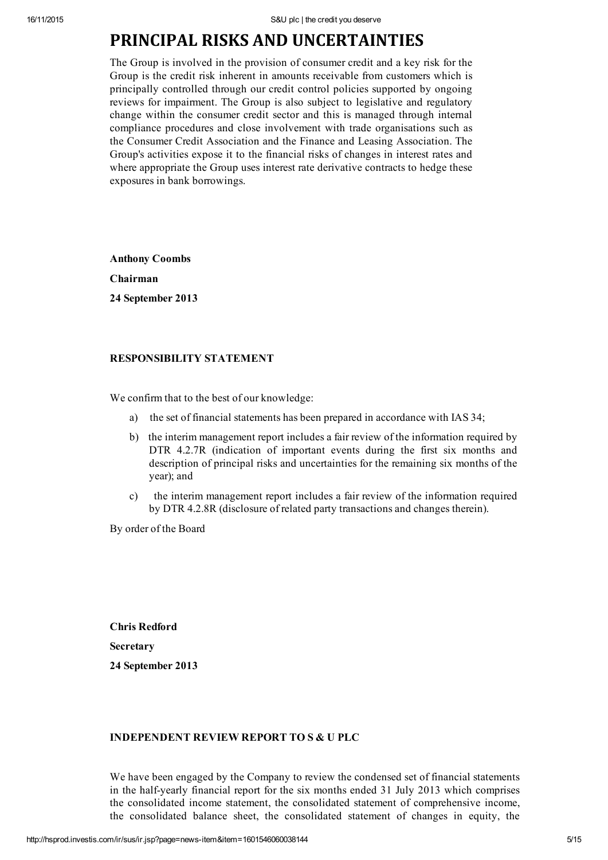# PRINCIPAL RISKS AND UNCERTAINTIES

The Group is involved in the provision of consumer credit and a key risk for the Group is the credit risk inherent in amounts receivable from customers which is principally controlled through our credit control policies supported by ongoing reviews for impairment. The Group is also subject to legislative and regulatory change within the consumer credit sector and this is managed through internal compliance procedures and close involvement with trade organisations such as the Consumer Credit Association and the Finance and Leasing Association. The Group's activities expose it to the financial risks of changes in interest rates and where appropriate the Group uses interest rate derivative contracts to hedge these exposures in bank borrowings.

Anthony Coombs Chairman 24 September 2013

### RESPONSIBILITY STATEMENT

We confirm that to the best of our knowledge:

- a) the set of financial statements has been prepared in accordance with IAS 34;
- b) the interim management report includes a fair review of the information required by DTR 4.2.7R (indication of important events during the first six months and description of principal risks and uncertainties for the remaining six months of the year); and
- c) the interim management report includes a fair review of the information required by DTR 4.2.8R (disclosure of related party transactions and changes therein).

By order of the Board

Chris Redford Secretary 24 September 2013

### INDEPENDENT REVIEW REPORT TO S & U PLC

We have been engaged by the Company to review the condensed set of financial statements in the halfyearly financial report for the six months ended 31 July 2013 which comprises the consolidated income statement, the consolidated statement of comprehensive income, the consolidated balance sheet, the consolidated statement of changes in equity, the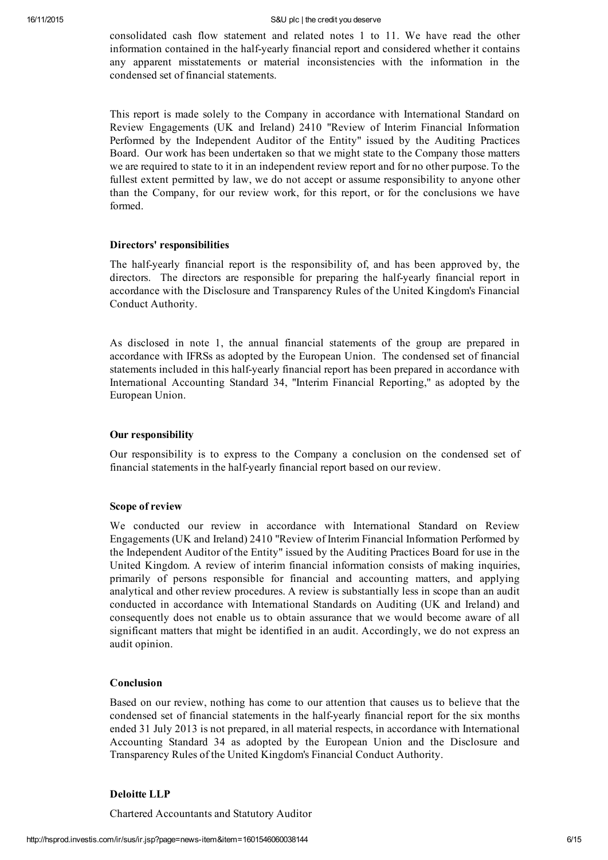consolidated cash flow statement and related notes 1 to 11. We have read the other information contained in the halfyearly financial report and considered whether it contains any apparent misstatements or material inconsistencies with the information in the condensed set of financial statements.

This report is made solely to the Company in accordance with International Standard on Review Engagements (UK and Ireland) 2410 "Review of Interim Financial Information Performed by the Independent Auditor of the Entity" issued by the Auditing Practices Board. Our work has been undertaken so that we might state to the Company those matters we are required to state to it in an independent review report and for no other purpose. To the fullest extent permitted by law, we do not accept or assume responsibility to anyone other than the Company, for our review work, for this report, or for the conclusions we have formed.

#### Directors' responsibilities

The halfyearly financial report is the responsibility of, and has been approved by, the directors. The directors are responsible for preparing the half-yearly financial report in accordance with the Disclosure and Transparency Rules of the United Kingdom's Financial Conduct Authority.

As disclosed in note 1, the annual financial statements of the group are prepared in accordance with IFRSs as adopted by the European Union. The condensed set of financial statements included in this half-yearly financial report has been prepared in accordance with International Accounting Standard 34, "Interim Financial Reporting," as adopted by the European Union.

### Our responsibility

Our responsibility is to express to the Company a conclusion on the condensed set of financial statements in the half-yearly financial report based on our review.

#### Scope of review

We conducted our review in accordance with International Standard on Review Engagements (UK and Ireland) 2410 "Review of Interim Financial Information Performed by the Independent Auditor of the Entity" issued by the Auditing Practices Board for use in the United Kingdom. A review of interim financial information consists of making inquiries, primarily of persons responsible for financial and accounting matters, and applying analytical and other review procedures. A review is substantially less in scope than an audit conducted in accordance with International Standards on Auditing (UK and Ireland) and consequently does not enable us to obtain assurance that we would become aware of all significant matters that might be identified in an audit. Accordingly, we do not express an audit opinion.

### Conclusion

Based on our review, nothing has come to our attention that causes us to believe that the condensed set of financial statements in the halfyearly financial report for the six months ended 31 July 2013 is not prepared, in all material respects, in accordance with International Accounting Standard 34 as adopted by the European Union and the Disclosure and Transparency Rules of the United Kingdom's Financial Conduct Authority.

### Deloitte LLP

Chartered Accountants and Statutory Auditor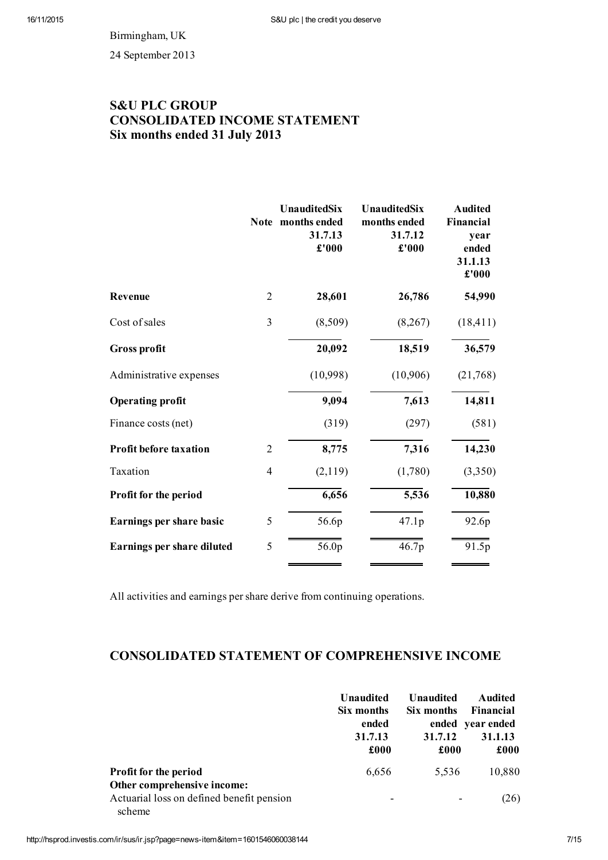Birmingham, UK 24 September 2013

# S&U PLC GROUP CONSOLIDATED INCOME STATEMENT Six months ended 31 July 2013

|                                   |                | <b>UnauditedSix</b><br>Note months ended<br>31.7.13<br>£'000 | <b>UnauditedSix</b><br>months ended<br>31.7.12<br>£'000 | <b>Audited</b><br>Financial<br>year<br>ended<br>31.1.13<br>£'000 |
|-----------------------------------|----------------|--------------------------------------------------------------|---------------------------------------------------------|------------------------------------------------------------------|
| Revenue                           | $\overline{2}$ | 28,601                                                       | 26,786                                                  | 54,990                                                           |
| Cost of sales                     | 3              | (8,509)                                                      | (8,267)                                                 | (18, 411)                                                        |
| <b>Gross profit</b>               |                | 20,092                                                       | 18,519                                                  | 36,579                                                           |
| Administrative expenses           |                | (10,998)                                                     | (10,906)                                                | (21,768)                                                         |
| <b>Operating profit</b>           |                | 9,094                                                        | 7,613                                                   | 14,811                                                           |
| Finance costs (net)               |                | (319)                                                        | (297)                                                   | (581)                                                            |
| <b>Profit before taxation</b>     | $\overline{2}$ | 8,775                                                        | 7,316                                                   | 14,230                                                           |
| Taxation                          | 4              | (2,119)                                                      | (1,780)                                                 | (3,350)                                                          |
| Profit for the period             |                | 6,656                                                        | 5,536                                                   | 10,880                                                           |
| Earnings per share basic          | 5              | 56.6p                                                        | 47.1p                                                   | 92.6p                                                            |
| <b>Earnings per share diluted</b> | 5              | 56.0p                                                        | 46.7p                                                   | 91.5p                                                            |

All activities and earnings pershare derive from continuing operations.

# CONSOLIDATED STATEMENT OF COMPREHENSIVE INCOME

|                                                                                    | Unaudited<br>Six months<br>ended<br>31.7.13<br>£000 | Unaudited<br>Six months<br>31.7.12<br>£000 | Audited<br>Financial<br>ended year ended<br>31.1.13<br>£000 |
|------------------------------------------------------------------------------------|-----------------------------------------------------|--------------------------------------------|-------------------------------------------------------------|
| Profit for the period                                                              | 6,656                                               | 5,536                                      | 10,880                                                      |
| Other comprehensive income:<br>Actuarial loss on defined benefit pension<br>scheme | ۰                                                   |                                            | (26)                                                        |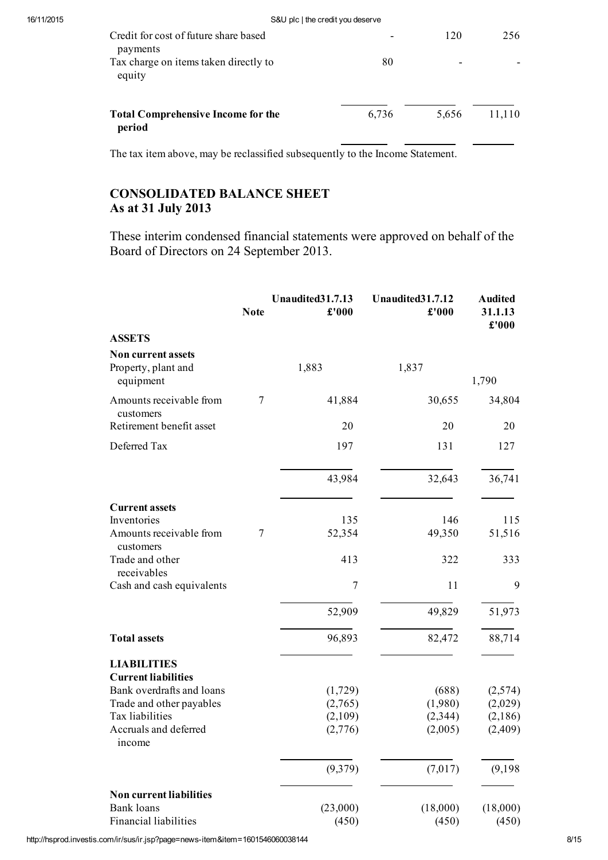S&U plc I the credit you deserve

| Credit for cost of future share based<br>payments                             |       | 120   | 256    |
|-------------------------------------------------------------------------------|-------|-------|--------|
| Tax charge on items taken directly to<br>equity                               | 80    |       |        |
| <b>Total Comprehensive Income for the</b><br>period                           | 6,736 | 5,656 | 11,110 |
| The tax item above, may be reclassified subsequently to the Income Statement. |       |       |        |

# CONSOLIDATED BALANCE SHEET As at 31 July 2013

These interim condensed financial statements were approved on behalf of the Board of Directors on 24 September 2013.

|                                                               | <b>Note</b> | Unaudited31.7.13<br>£'000 | Unaudited31.7.12<br>£'000 | <b>Audited</b><br>31.1.13<br>£'000 |
|---------------------------------------------------------------|-------------|---------------------------|---------------------------|------------------------------------|
| <b>ASSETS</b>                                                 |             |                           |                           |                                    |
| <b>Non current assets</b><br>Property, plant and<br>equipment |             | 1,883                     | 1,837                     | 1,790                              |
| Amounts receivable from<br>customers                          | 7           | 41,884                    | 30,655                    | 34,804                             |
| Retirement benefit asset                                      |             | 20                        | 20                        | 20                                 |
| Deferred Tax                                                  |             | 197                       | 131                       | 127                                |
|                                                               |             | 43,984                    | 32,643                    | 36,741                             |
| <b>Current assets</b>                                         |             |                           |                           |                                    |
| Inventories<br>Amounts receivable from<br>customers           | 7           | 135<br>52,354             | 146<br>49,350             | 115<br>51,516                      |
| Trade and other<br>receivables                                |             | 413                       | 322                       | 333                                |
| Cash and cash equivalents                                     |             | 7                         | 11                        | 9                                  |
|                                                               |             | 52,909                    | 49,829                    | 51,973                             |
| <b>Total assets</b>                                           |             | 96,893                    | 82,472                    | 88,714                             |
| <b>LIABILITIES</b><br><b>Current liabilities</b>              |             |                           |                           |                                    |
| Bank overdrafts and loans                                     |             | (1,729)                   | (688)                     | (2,574)                            |
| Trade and other payables                                      |             | (2,765)                   | (1,980)                   | (2,029)                            |
| Tax liabilities                                               |             | (2,109)                   | (2,344)                   | (2,186)                            |
| Accruals and deferred<br>income                               |             | (2,776)                   | (2,005)                   | (2,409)                            |
|                                                               |             | (9,379)                   | (7,017)                   | (9,198)                            |
| Non current liabilities                                       |             |                           |                           |                                    |
| <b>Bank</b> loans                                             |             | (23,000)                  | (18,000)                  | (18,000)                           |
| Financial liabilities                                         |             | (450)                     | (450)                     | (450)                              |

http://hsprod.investis.com/ir/sus/ir.jsp?page=news-item&item=1601546060038144 8/15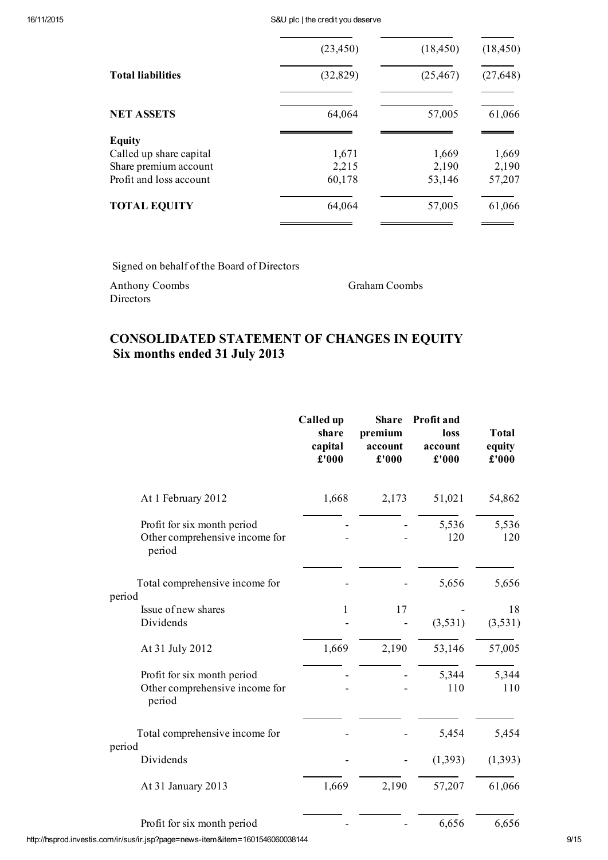16/11/2015 S&U plc | the credit you deserve

|                          | (23, 450) | (18, 450) | (18, 450) |
|--------------------------|-----------|-----------|-----------|
| <b>Total liabilities</b> | (32, 829) | (25, 467) | (27, 648) |
| <b>NET ASSETS</b>        | 64,064    | 57,005    | 61,066    |
| <b>Equity</b>            |           |           |           |
| Called up share capital  | 1,671     | 1,669     | 1,669     |
| Share premium account    | 2,215     | 2,190     | 2,190     |
| Profit and loss account  | 60,178    | 53,146    | 57,207    |
| <b>TOTAL EQUITY</b>      | 64,064    | 57,005    | 61,066    |
|                          |           |           |           |

Signed on behalf of the Board of Directors

Anthony Coombs Graham Coombs **Directors** 

# CONSOLIDATED STATEMENT OF CHANGES IN EQUITY Six months ended 31 July 2013

|                                            |                                                                         | Called up<br>share<br>capital<br>£'000 | <b>Share</b><br>premium<br>account<br>£'000 | Profit and<br>loss<br>account<br>£'000 | <b>Total</b><br>equity<br>£'000 |
|--------------------------------------------|-------------------------------------------------------------------------|----------------------------------------|---------------------------------------------|----------------------------------------|---------------------------------|
|                                            | At 1 February 2012                                                      | 1,668                                  | 2,173                                       | 51,021                                 | 54,862                          |
|                                            | Profit for six month period<br>Other comprehensive income for<br>period |                                        |                                             | 5,536<br>120                           | 5,536<br>120                    |
|                                            | Total comprehensive income for                                          |                                        |                                             | 5,656                                  | 5,656                           |
| period<br>Issue of new shares<br>Dividends | 1                                                                       | 17                                     | (3,531)                                     | 18<br>(3,531)                          |                                 |
|                                            | At 31 July 2012                                                         | 1,669                                  | 2,190                                       | 53,146                                 | 57,005                          |
|                                            | Profit for six month period<br>Other comprehensive income for<br>period |                                        |                                             | 5,344<br>110                           | 5,344<br>110                    |
|                                            | Total comprehensive income for                                          |                                        |                                             | 5,454                                  | 5,454                           |
| period                                     | Dividends                                                               |                                        |                                             | (1, 393)                               | (1,393)                         |
|                                            | At 31 January 2013                                                      | 1,669                                  | 2,190                                       | 57,207                                 | 61,066                          |
|                                            | Profit for six month period                                             |                                        |                                             | 6,656                                  | 6,656                           |

http://hsprod.investis.com/ir/sus/ir.jsp?page=news-item&item=1601546060038144 9/15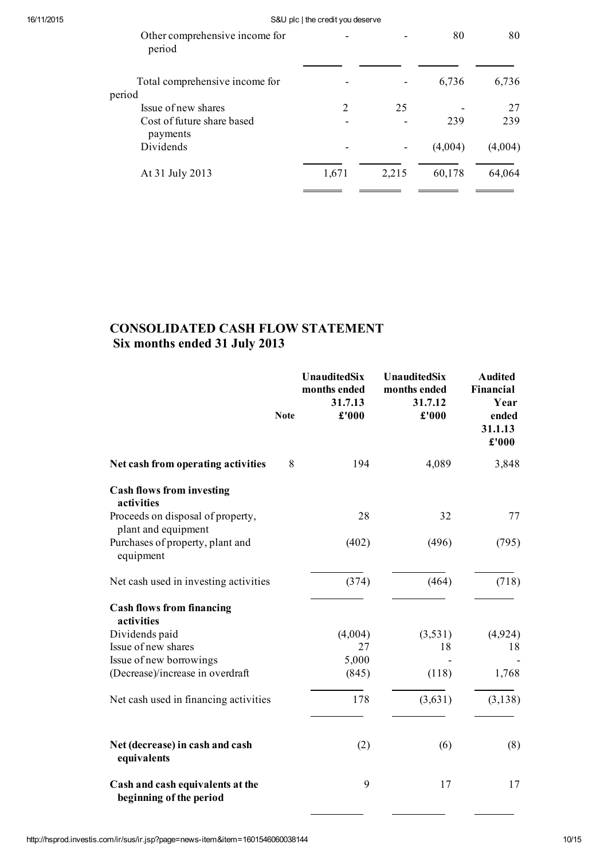### 16/11/2015 S&U plc | the credit you deserve

| Other comprehensive income for<br>period |                             |       | 80      | 80      |
|------------------------------------------|-----------------------------|-------|---------|---------|
| Total comprehensive income for           |                             |       | 6,736   | 6,736   |
| period                                   |                             |       |         |         |
| Issue of new shares                      | $\mathcal{D}_{\mathcal{L}}$ | 25    |         | 27      |
| Cost of future share based<br>payments   |                             |       | 239     | 239     |
| Dividends                                |                             |       | (4,004) | (4,004) |
| At 31 July 2013                          | 1,671                       | 2,215 | 60,178  | 64,064  |

# CONSOLIDATED CASH FLOW STATEMENT Six months ended 31 July 2013

|                                                             | <b>Note</b> | <b>UnauditedSix</b><br>months ended<br>31.7.13<br>£'000 | <b>UnauditedSix</b><br>months ended<br>31.7.12<br>£'000 | <b>Audited</b><br>Financial<br>Year<br>ended<br>31.1.13<br>£'000 |
|-------------------------------------------------------------|-------------|---------------------------------------------------------|---------------------------------------------------------|------------------------------------------------------------------|
| Net cash from operating activities                          | 8           | 194                                                     | 4,089                                                   | 3,848                                                            |
| <b>Cash flows from investing</b><br>activities              |             |                                                         |                                                         |                                                                  |
| Proceeds on disposal of property,<br>plant and equipment    |             | 28                                                      | 32                                                      | 77                                                               |
| Purchases of property, plant and<br>equipment               |             | (402)                                                   | (496)                                                   | (795)                                                            |
| Net cash used in investing activities                       |             | (374)                                                   | (464)                                                   | (718)                                                            |
| <b>Cash flows from financing</b><br>activities              |             |                                                         |                                                         |                                                                  |
| Dividends paid                                              |             | (4,004)                                                 | (3,531)                                                 | (4, 924)                                                         |
| Issue of new shares                                         |             | 27                                                      | 18                                                      | 18                                                               |
| Issue of new borrowings                                     |             | 5,000                                                   |                                                         |                                                                  |
| (Decrease)/increase in overdraft                            |             | (845)                                                   | (118)                                                   | 1,768                                                            |
| Net cash used in financing activities                       |             | 178                                                     | (3,631)                                                 | (3, 138)                                                         |
| Net (decrease) in cash and cash<br>equivalents              |             | (2)                                                     | (6)                                                     | (8)                                                              |
| Cash and cash equivalents at the<br>beginning of the period |             | 9                                                       | 17                                                      | 17                                                               |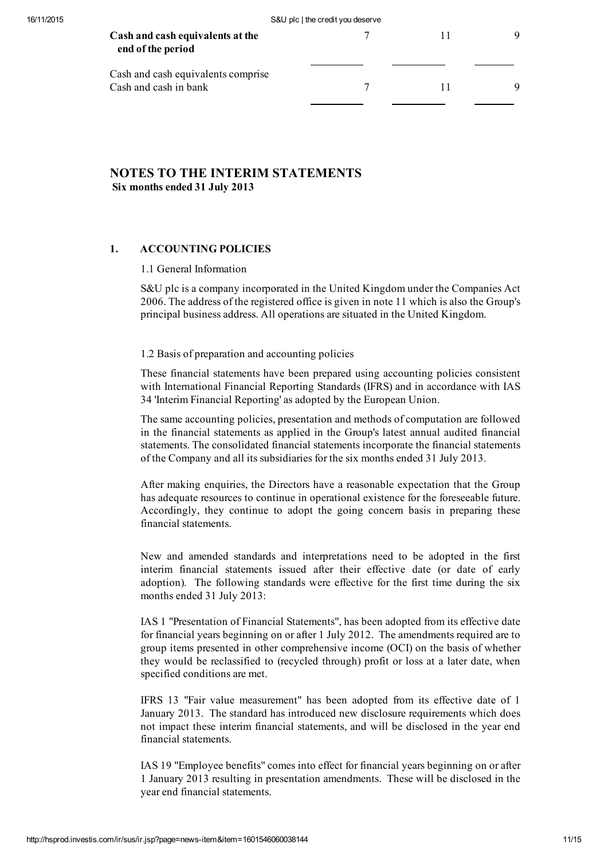| $\mathbf{L}$ |  |
|--------------|--|
| $\perp$      |  |
|              |  |

### NOTES TO THE INTERIM STATEMENTS Six months ended 31 July 2013

### 1. ACCOUNTING POLICIES

1.1 General Information

S&U plc is a company incorporated in the United Kingdom under the Companies Act 2006. The address of the registered office is given in note 11 which is also the Group's principal business address. All operations are situated in the United Kingdom.

#### 1.2 Basis of preparation and accounting policies

These financial statements have been prepared using accounting policies consistent with International Financial Reporting Standards (IFRS) and in accordance with IAS 34 'Interim Financial Reporting' as adopted by the European Union.

The same accounting policies, presentation and methods of computation are followed in the financial statements as applied in the Group's latest annual audited financial statements. The consolidated financial statements incorporate the financial statements of the Company and all its subsidiaries for the six months ended 31 July 2013.

After making enquiries, the Directors have a reasonable expectation that the Group has adequate resources to continue in operational existence for the foreseeable future. Accordingly, they continue to adopt the going concern basis in preparing these financial statements.

New and amended standards and interpretations need to be adopted in the first interim financial statements issued after their effective date (or date of early adoption). The following standards were effective for the first time during the six months ended 31 July 2013:

IAS 1 "Presentation of Financial Statements", has been adopted from its effective date for financial years beginning on or after 1 July 2012. The amendments required are to group items presented in other comprehensive income (OCI) on the basis of whether they would be reclassified to (recycled through) profit or loss at a later date, when specified conditions are met.

IFRS 13 "Fair value measurement" has been adopted from its effective date of 1 January 2013. The standard has introduced new disclosure requirements which does not impact these interim financial statements, and will be disclosed in the year end financial statements.

IAS 19 "Employee benefits" comes into effect for financial years beginning on or after 1 January 2013 resulting in presentation amendments. These will be disclosed in the year end financial statements.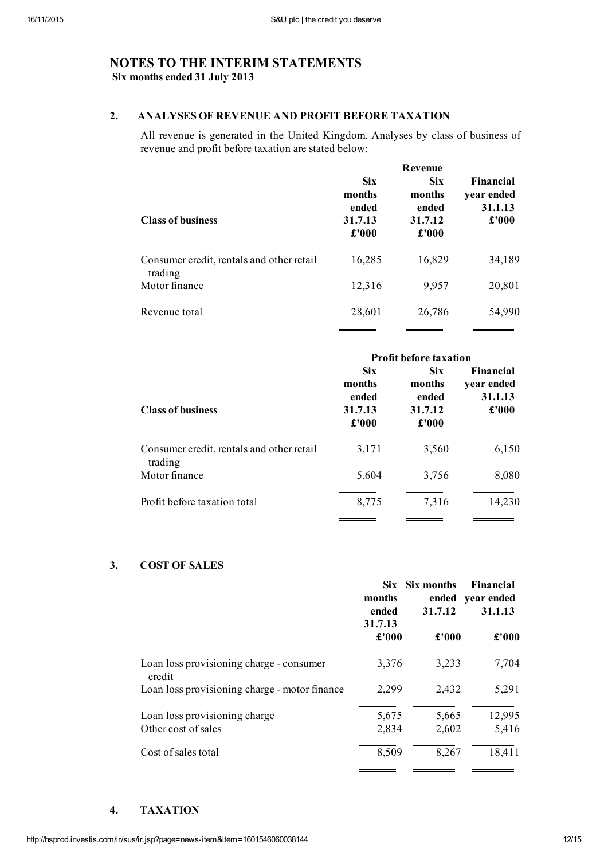## NOTES TO THE INTERIM STATEMENTS Six months ended 31 July 2013

## 2. ANALYSES OF REVENUE AND PROFIT BEFORE TAXATION

All revenue is generated in the United Kingdom. Analyses by class of business of revenue and profit before taxation are stated below:

|                                                      | <b>Revenue</b>                                    |                                                   |                                                    |  |
|------------------------------------------------------|---------------------------------------------------|---------------------------------------------------|----------------------------------------------------|--|
| <b>Class of business</b>                             | <b>Six</b><br>months<br>ended<br>31.7.13<br>£'000 | <b>Six</b><br>months<br>ended<br>31.7.12<br>£'000 | <b>Financial</b><br>year ended<br>31.1.13<br>£'000 |  |
| Consumer credit, rentals and other retail<br>trading | 16,285                                            | 16,829                                            | 34,189                                             |  |
| Motor finance                                        | 12,316                                            | 9,957                                             | 20,801                                             |  |
| Revenue total                                        | 28,601                                            | 26,786                                            | 54,990                                             |  |

|                                                      | <b>Profit before taxation</b>                     |                                                   |                                                    |
|------------------------------------------------------|---------------------------------------------------|---------------------------------------------------|----------------------------------------------------|
| <b>Class of business</b>                             | <b>Six</b><br>months<br>ended<br>31.7.13<br>£'000 | <b>Six</b><br>months<br>ended<br>31.7.12<br>£'000 | <b>Financial</b><br>year ended<br>31.1.13<br>£'000 |
| Consumer credit, rentals and other retail<br>trading | 3,171                                             | 3,560                                             | 6,150                                              |
| Motor finance                                        | 5,604                                             | 3,756                                             | 8,080                                              |
| Profit before taxation total                         | 8,775                                             | 7,316                                             | 14,230                                             |
|                                                      |                                                   |                                                   |                                                    |

### 3. COST OF SALES

|                                                      | months<br>ended<br>31.7.13 | Six Six months<br>ended<br>31.7.12 | Financial<br>year ended<br>31.1.13 |
|------------------------------------------------------|----------------------------|------------------------------------|------------------------------------|
|                                                      | £'000                      | £'000                              | £'000                              |
| Loan loss provisioning charge - consumer<br>credit   | 3,376                      | 3,233                              | 7,704                              |
| Loan loss provisioning charge - motor finance        | 2,299                      | 2,432                              | 5,291                              |
| Loan loss provisioning charge<br>Other cost of sales | 5,675<br>2,834             | 5,665<br>2,602                     | 12,995<br>5,416                    |
| Cost of sales total                                  | 8,509                      | 8,267                              | 18,411                             |

## 4. TAXATION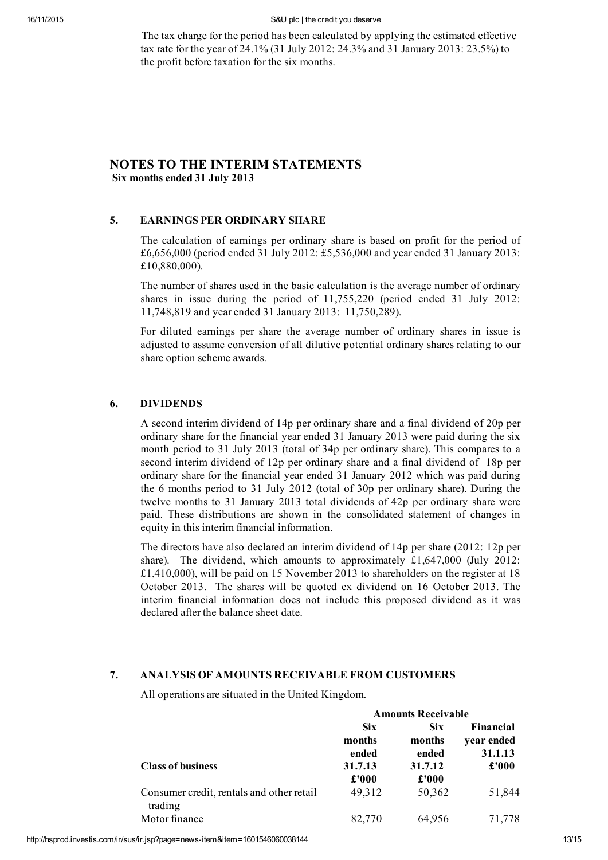The tax charge for the period has been calculated by applying the estimated effective tax rate for the year of 24.1% (31 July 2012: 24.3% and 31 January 2013: 23.5%) to the profit before taxation for the six months.

### NOTES TO THE INTERIM STATEMENTS Six months ended 31 July 2013

### 5. EARNINGS PER ORDINARY SHARE

The calculation of earnings per ordinary share is based on profit for the period of £6,656,000 (period ended 31 July 2012: £5,536,000 and year ended 31 January 2013: £10,880,000).

The number of shares used in the basic calculation is the average number of ordinary shares in issue during the period of 11,755,220 (period ended 31 July 2012: 11,748,819 and year ended 31 January 2013: 11,750,289).

For diluted earnings per share the average number of ordinary shares in issue is adjusted to assume conversion of all dilutive potential ordinary shares relating to our share option scheme awards.

### 6. DIVIDENDS

A second interim dividend of 14p per ordinary share and a final dividend of 20p per ordinary share for the financial year ended 31 January 2013 were paid during the six month period to 31 July 2013 (total of 34p per ordinary share). This compares to a second interim dividend of 12p per ordinary share and a final dividend of 18p per ordinary share for the financial year ended 31 January 2012 which was paid during the 6 months period to 31 July 2012 (total of 30p per ordinary share). During the twelve months to 31 January 2013 total dividends of 42p per ordinary share were paid. These distributions are shown in the consolidated statement of changes in equity in this interim financial information.

The directors have also declared an interim dividend of 14p per share (2012: 12p per share). The dividend, which amounts to approximately £1,647,000 (July 2012: £1,410,000), will be paid on 15 November 2013 to shareholders on the register at 18 October 2013. The shares will be quoted ex dividend on 16 October 2013. The interim financial information does not include this proposed dividend as it was declared after the balance sheet date.

### 7. ANALYSIS OF AMOUNTS RECEIVABLE FROM CUSTOMERS

All operations are situated in the United Kingdom.

|                                                      | <b>Amounts Receivable</b> |                      |                         |
|------------------------------------------------------|---------------------------|----------------------|-------------------------|
|                                                      | <b>Six</b><br>months      | <b>Six</b><br>months | Financial<br>year ended |
|                                                      |                           |                      |                         |
|                                                      | ended                     | ended                | 31.1.13                 |
| <b>Class of business</b>                             | 31.7.13                   | 31.7.12              | £'000                   |
|                                                      | £'000                     | £'000                |                         |
| Consumer credit, rentals and other retail<br>trading | 49,312                    | 50,362               | 51,844                  |
| Motor finance                                        | 82,770                    | 64,956               | 71,778                  |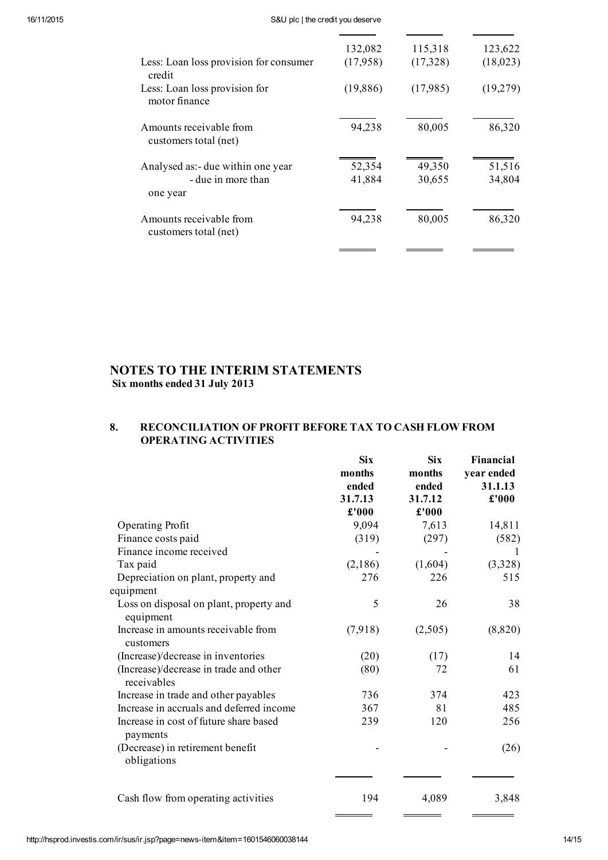### 16/11/2015 S&U plc | the credit you deserve

|                                                  | 132,082  | 115,318  | 123,622  |
|--------------------------------------------------|----------|----------|----------|
| Less: Loan loss provision for consumer<br>credit | (17,958) | (17,328) | (18,023) |
| Less: Loan loss provision for<br>motor finance   | (19,886) | (17,985) | (19,279) |
| Amounts receivable from<br>customers total (net) | 94,238   | 80,005   | 86,320   |
| Analysed as:- due within one year                | 52,354   | 49,350   | 51,516   |
| - due in more than<br>one year                   | 41,884   | 30,655   | 34,804   |
| Amounts receivable from<br>customers total (net) | 94,238   | 80,005   | 86,320   |
|                                                  |          |          |          |

## NOTES TO THE INTERIM STATEMENTS Six months ended 31 July 2013

### 8. RECONCILIATION OF PROFIT BEFORE TAX TO CASH FLOW FROM OPERATING ACTIVITIES

|                                                       | <b>Six</b><br>months<br>ended<br>31.7.13 | <b>Six</b><br>months<br>ended<br>31.7.12 | Financial<br>year ended<br>31.1.13<br>£'000 |
|-------------------------------------------------------|------------------------------------------|------------------------------------------|---------------------------------------------|
|                                                       | £'000                                    | £'000                                    |                                             |
| <b>Operating Profit</b>                               | 9,094                                    | 7,613                                    | 14,811                                      |
| Finance costs paid                                    | (319)                                    | (297)                                    | (582)                                       |
| Finance income received                               |                                          |                                          |                                             |
| Tax paid                                              | (2,186)                                  | (1,604)                                  | (3,328)                                     |
| Depreciation on plant, property and                   | 276                                      | 226                                      | 515                                         |
| equipment                                             |                                          |                                          |                                             |
| Loss on disposal on plant, property and<br>equipment  | 5                                        | 26                                       | 38                                          |
| Increase in amounts receivable from<br>customers      | (7,918)                                  | (2,505)                                  | (8,820)                                     |
| (Increase)/decrease in inventories                    | (20)                                     | (17)                                     | 14                                          |
| (Increase)/decrease in trade and other<br>receivables | (80)                                     | 72                                       | 61                                          |
| Increase in trade and other payables                  | 736                                      | 374                                      | 423                                         |
| Increase in accruals and deferred income              | 367                                      | 81                                       | 485                                         |
| Increase in cost of future share based<br>payments    | 239                                      | 120                                      | 256                                         |
| (Decrease) in retirement benefit<br>obligations       |                                          |                                          | (26)                                        |
| Cash flow from operating activities                   | 194                                      | 4,089                                    | 3,848                                       |